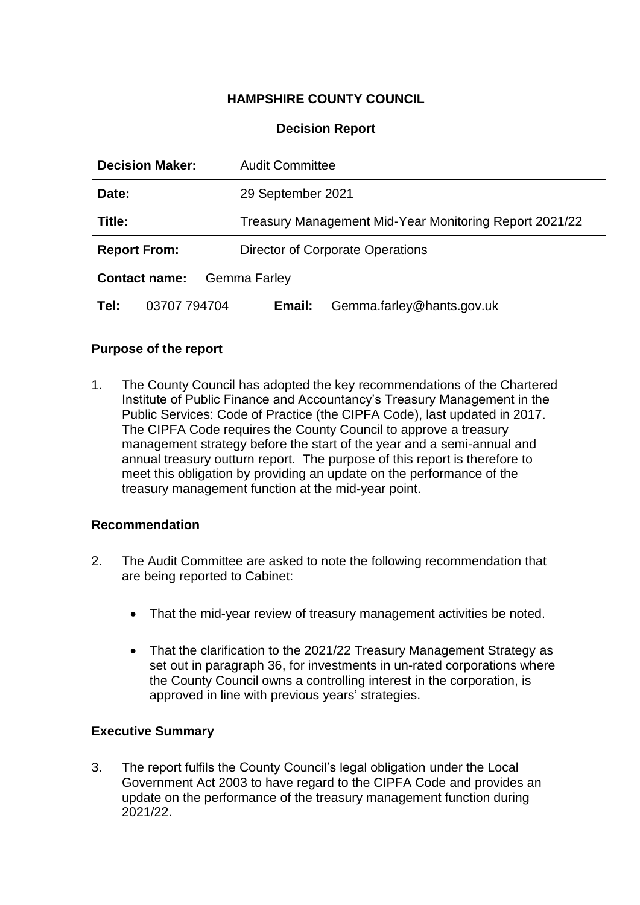# **HAMPSHIRE COUNTY COUNCIL**

# **Decision Report**

| <b>Decision Maker:</b>                                  | <b>Audit Committee</b>                                 |  |  |  |
|---------------------------------------------------------|--------------------------------------------------------|--|--|--|
| Date:                                                   | 29 September 2021                                      |  |  |  |
| Title:                                                  | Treasury Management Mid-Year Monitoring Report 2021/22 |  |  |  |
| Director of Corporate Operations<br><b>Report From:</b> |                                                        |  |  |  |
| <b>Contact name:</b><br><b>Gemma Farley</b>             |                                                        |  |  |  |

**Tel:** 03707 794704 **Email:** Gemma.farley@hants.gov.uk

## **Purpose of the report**

1. The County Council has adopted the key recommendations of the Chartered Institute of Public Finance and Accountancy's Treasury Management in the Public Services: Code of Practice (the CIPFA Code), last updated in 2017. The CIPFA Code requires the County Council to approve a treasury management strategy before the start of the year and a semi-annual and annual treasury outturn report. The purpose of this report is therefore to meet this obligation by providing an update on the performance of the treasury management function at the mid-year point.

## **Recommendation**

- 2. The Audit Committee are asked to note the following recommendation that are being reported to Cabinet:
	- That the mid-year review of treasury management activities be noted.
	- That the clarification to the 2021/22 Treasury Management Strategy as set out in paragraph 36, for investments in un-rated corporations where the County Council owns a controlling interest in the corporation, is approved in line with previous years' strategies.

## **Executive Summary**

3. The report fulfils the County Council's legal obligation under the Local Government Act 2003 to have regard to the CIPFA Code and provides an update on the performance of the treasury management function during 2021/22.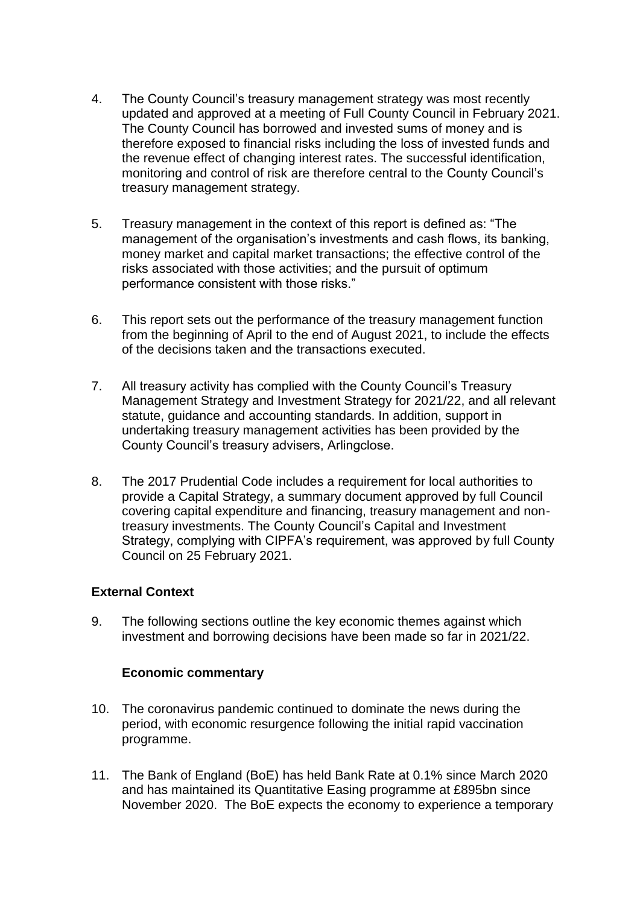- 4. The County Council's treasury management strategy was most recently updated and approved at a meeting of Full County Council in February 2021. The County Council has borrowed and invested sums of money and is therefore exposed to financial risks including the loss of invested funds and the revenue effect of changing interest rates. The successful identification, monitoring and control of risk are therefore central to the County Council's treasury management strategy.
- 5. Treasury management in the context of this report is defined as: "The management of the organisation's investments and cash flows, its banking, money market and capital market transactions; the effective control of the risks associated with those activities; and the pursuit of optimum performance consistent with those risks."
- 6. This report sets out the performance of the treasury management function from the beginning of April to the end of August 2021, to include the effects of the decisions taken and the transactions executed.
- 7. All treasury activity has complied with the County Council's Treasury Management Strategy and Investment Strategy for 2021/22, and all relevant statute, guidance and accounting standards. In addition, support in undertaking treasury management activities has been provided by the County Council's treasury advisers, Arlingclose.
- 8. The 2017 Prudential Code includes a requirement for local authorities to provide a Capital Strategy, a summary document approved by full Council covering capital expenditure and financing, treasury management and nontreasury investments. The County Council's Capital and Investment Strategy, complying with CIPFA's requirement, was approved by full County Council on 25 February 2021.

# **External Context**

9. The following sections outline the key economic themes against which investment and borrowing decisions have been made so far in 2021/22.

## **Economic commentary**

- 10. The coronavirus pandemic continued to dominate the news during the period, with economic resurgence following the initial rapid vaccination programme.
- 11. The Bank of England (BoE) has held Bank Rate at 0.1% since March 2020 and has maintained its Quantitative Easing programme at £895bn since November 2020. The BoE expects the economy to experience a temporary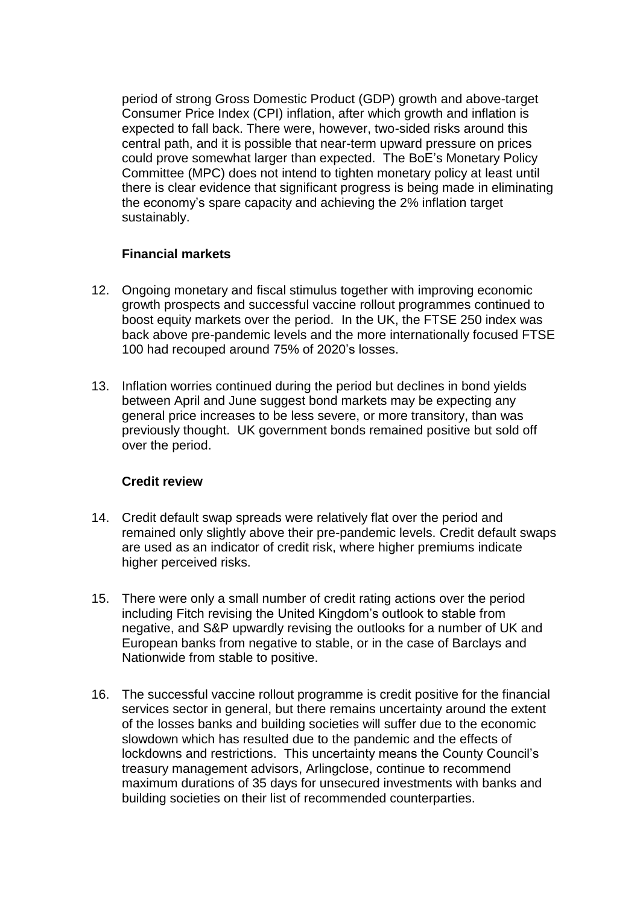period of strong Gross Domestic Product (GDP) growth and above-target Consumer Price Index (CPI) inflation, after which growth and inflation is expected to fall back. There were, however, two-sided risks around this central path, and it is possible that near-term upward pressure on prices could prove somewhat larger than expected. The BoE's Monetary Policy Committee (MPC) does not intend to tighten monetary policy at least until there is clear evidence that significant progress is being made in eliminating the economy's spare capacity and achieving the 2% inflation target sustainably.

# **Financial markets**

- 12. Ongoing monetary and fiscal stimulus together with improving economic growth prospects and successful vaccine rollout programmes continued to boost equity markets over the period. In the UK, the FTSE 250 index was back above pre-pandemic levels and the more internationally focused FTSE 100 had recouped around 75% of 2020's losses.
- 13. Inflation worries continued during the period but declines in bond yields between April and June suggest bond markets may be expecting any general price increases to be less severe, or more transitory, than was previously thought. UK government bonds remained positive but sold off over the period.

## **Credit review**

- 14. Credit default swap spreads were relatively flat over the period and remained only slightly above their pre-pandemic levels. Credit default swaps are used as an indicator of credit risk, where higher premiums indicate higher perceived risks.
- 15. There were only a small number of credit rating actions over the period including Fitch revising the United Kingdom's outlook to stable from negative, and S&P upwardly revising the outlooks for a number of UK and European banks from negative to stable, or in the case of Barclays and Nationwide from stable to positive.
- 16. The successful vaccine rollout programme is credit positive for the financial services sector in general, but there remains uncertainty around the extent of the losses banks and building societies will suffer due to the economic slowdown which has resulted due to the pandemic and the effects of lockdowns and restrictions. This uncertainty means the County Council's treasury management advisors, Arlingclose, continue to recommend maximum durations of 35 days for unsecured investments with banks and building societies on their list of recommended counterparties.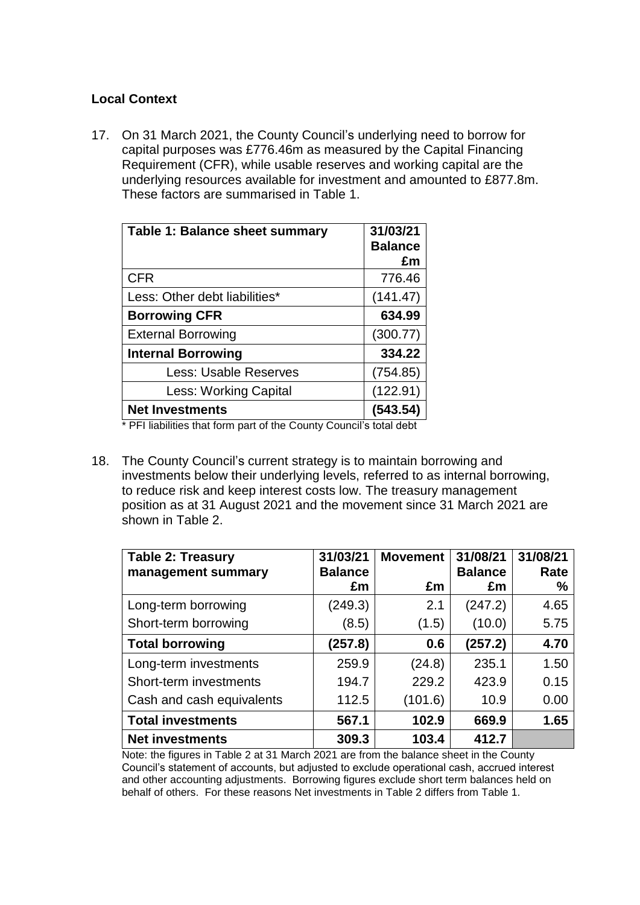# **Local Context**

17. On 31 March 2021, the County Council's underlying need to borrow for capital purposes was £776.46m as measured by the Capital Financing Requirement (CFR), while usable reserves and working capital are the underlying resources available for investment and amounted to £877.8m. These factors are summarised in Table 1.

| Table 1: Balance sheet summary | 31/03/21<br><b>Balance</b><br>£m |
|--------------------------------|----------------------------------|
| <b>CFR</b>                     | 776.46                           |
| Less: Other debt liabilities*  | (141.47)                         |
| <b>Borrowing CFR</b>           | 634.99                           |
| <b>External Borrowing</b>      | (300.77)                         |
| <b>Internal Borrowing</b>      | 334.22                           |
| Less: Usable Reserves          | (754.85)                         |
| <b>Less: Working Capital</b>   | (122.91)                         |
| <b>Net Investments</b>         | (543.54)                         |

\* PFI liabilities that form part of the County Council's total debt

18. The County Council's current strategy is to maintain borrowing and investments below their underlying levels, referred to as internal borrowing, to reduce risk and keep interest costs low. The treasury management position as at 31 August 2021 and the movement since 31 March 2021 are shown in Table 2.

| <b>Table 2: Treasury</b><br>management summary | 31/03/21<br><b>Balance</b> | <b>Movement</b> | 31/08/21<br><b>Balance</b> | 31/08/21<br>Rate |
|------------------------------------------------|----------------------------|-----------------|----------------------------|------------------|
|                                                | £m                         | £m              | £m                         | $\frac{0}{0}$    |
| Long-term borrowing                            | (249.3)                    | 2.1             | (247.2)                    | 4.65             |
| Short-term borrowing                           | (8.5)                      | (1.5)           | (10.0)                     | 5.75             |
| <b>Total borrowing</b>                         | (257.8)                    | 0.6             | (257.2)                    | 4.70             |
| Long-term investments                          | 259.9                      | (24.8)          | 235.1                      | 1.50             |
| Short-term investments                         | 194.7                      | 229.2           | 423.9                      | 0.15             |
| Cash and cash equivalents                      | 112.5                      | (101.6)         | 10.9                       | 0.00             |
| <b>Total investments</b>                       | 567.1                      | 102.9           | 669.9                      | 1.65             |
| <b>Net investments</b>                         | 309.3                      | 103.4           | 412.7                      |                  |

Note: the figures in Table 2 at 31 March 2021 are from the balance sheet in the County Council's statement of accounts, but adjusted to exclude operational cash, accrued interest and other accounting adjustments. Borrowing figures exclude short term balances held on behalf of others. For these reasons Net investments in Table 2 differs from Table 1.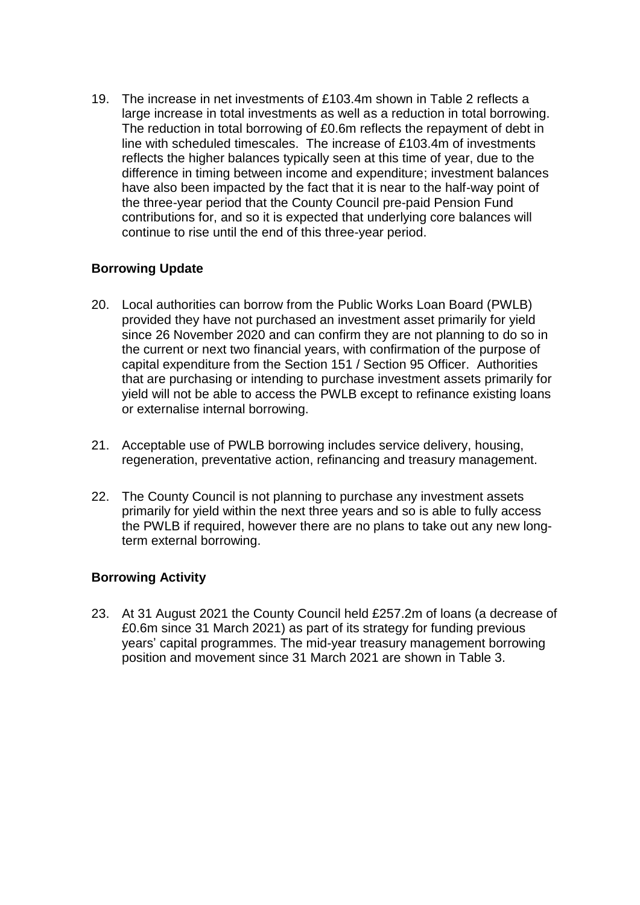19. The increase in net investments of £103.4m shown in Table 2 reflects a large increase in total investments as well as a reduction in total borrowing. The reduction in total borrowing of £0.6m reflects the repayment of debt in line with scheduled timescales. The increase of £103.4m of investments reflects the higher balances typically seen at this time of year, due to the difference in timing between income and expenditure; investment balances have also been impacted by the fact that it is near to the half-way point of the three-year period that the County Council pre-paid Pension Fund contributions for, and so it is expected that underlying core balances will continue to rise until the end of this three-year period.

# **Borrowing Update**

- 20. Local authorities can borrow from the Public Works Loan Board (PWLB) provided they have not purchased an investment asset primarily for yield since 26 November 2020 and can confirm they are not planning to do so in the current or next two financial years, with confirmation of the purpose of capital expenditure from the Section 151 / Section 95 Officer. Authorities that are purchasing or intending to purchase investment assets primarily for yield will not be able to access the PWLB except to refinance existing loans or externalise internal borrowing.
- 21. Acceptable use of PWLB borrowing includes service delivery, housing, regeneration, preventative action, refinancing and treasury management.
- 22. The County Council is not planning to purchase any investment assets primarily for yield within the next three years and so is able to fully access the PWLB if required, however there are no plans to take out any new longterm external borrowing.

# **Borrowing Activity**

23. At 31 August 2021 the County Council held £257.2m of loans (a decrease of £0.6m since 31 March 2021) as part of its strategy for funding previous years' capital programmes. The mid-year treasury management borrowing position and movement since 31 March 2021 are shown in Table 3.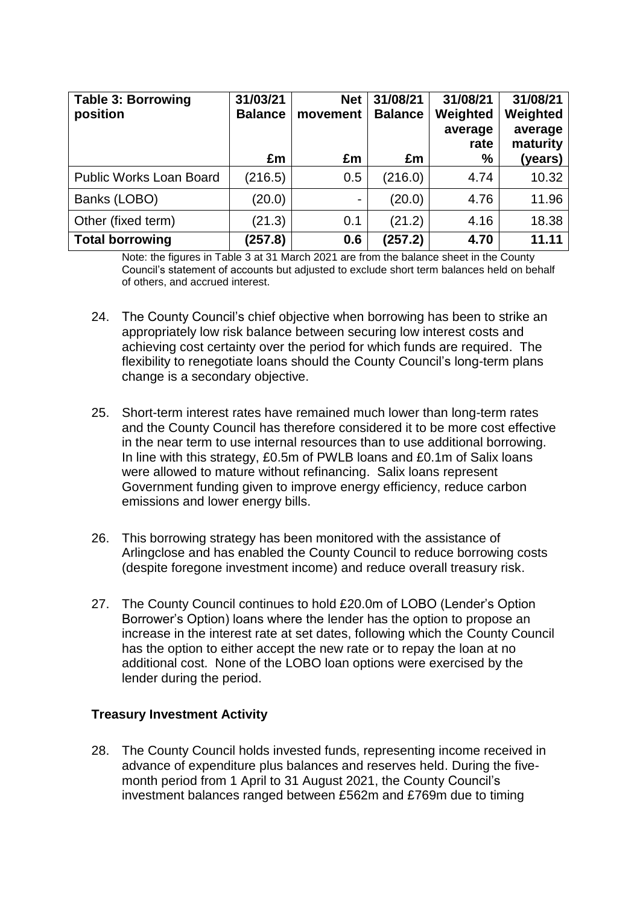| <b>Table 3: Borrowing</b><br>position | 31/03/21<br><b>Balance</b> | <b>Net</b><br>movement | 31/08/21<br><b>Balance</b> | 31/08/21<br>Weighted<br>average<br>rate | 31/08/21<br>Weighted<br>average<br>maturity |
|---------------------------------------|----------------------------|------------------------|----------------------------|-----------------------------------------|---------------------------------------------|
|                                       | £m                         | £m                     | £m                         | %                                       | (years)                                     |
| <b>Public Works Loan Board</b>        | (216.5)                    | 0.5                    | (216.0)                    | 4.74                                    | 10.32                                       |
| Banks (LOBO)                          | (20.0)                     |                        | (20.0)                     | 4.76                                    | 11.96                                       |
| Other (fixed term)                    | (21.3)                     | 0.1                    | (21.2)                     | 4.16                                    | 18.38                                       |
| <b>Total borrowing</b>                | (257.8)                    | 0.6                    | (257.2)                    | 4.70                                    | 11.11                                       |

Note: the figures in Table 3 at 31 March 2021 are from the balance sheet in the County Council's statement of accounts but adjusted to exclude short term balances held on behalf of others, and accrued interest.

- 24. The County Council's chief objective when borrowing has been to strike an appropriately low risk balance between securing low interest costs and achieving cost certainty over the period for which funds are required. The flexibility to renegotiate loans should the County Council's long-term plans change is a secondary objective.
- 25. Short-term interest rates have remained much lower than long-term rates and the County Council has therefore considered it to be more cost effective in the near term to use internal resources than to use additional borrowing. In line with this strategy, £0.5m of PWLB loans and £0.1m of Salix loans were allowed to mature without refinancing. Salix loans represent Government funding given to improve energy efficiency, reduce carbon emissions and lower energy bills.
- 26. This borrowing strategy has been monitored with the assistance of Arlingclose and has enabled the County Council to reduce borrowing costs (despite foregone investment income) and reduce overall treasury risk.
- 27. The County Council continues to hold £20.0m of LOBO (Lender's Option Borrower's Option) loans where the lender has the option to propose an increase in the interest rate at set dates, following which the County Council has the option to either accept the new rate or to repay the loan at no additional cost. None of the LOBO loan options were exercised by the lender during the period.

# **Treasury Investment Activity**

28. The County Council holds invested funds, representing income received in advance of expenditure plus balances and reserves held. During the fivemonth period from 1 April to 31 August 2021, the County Council's investment balances ranged between £562m and £769m due to timing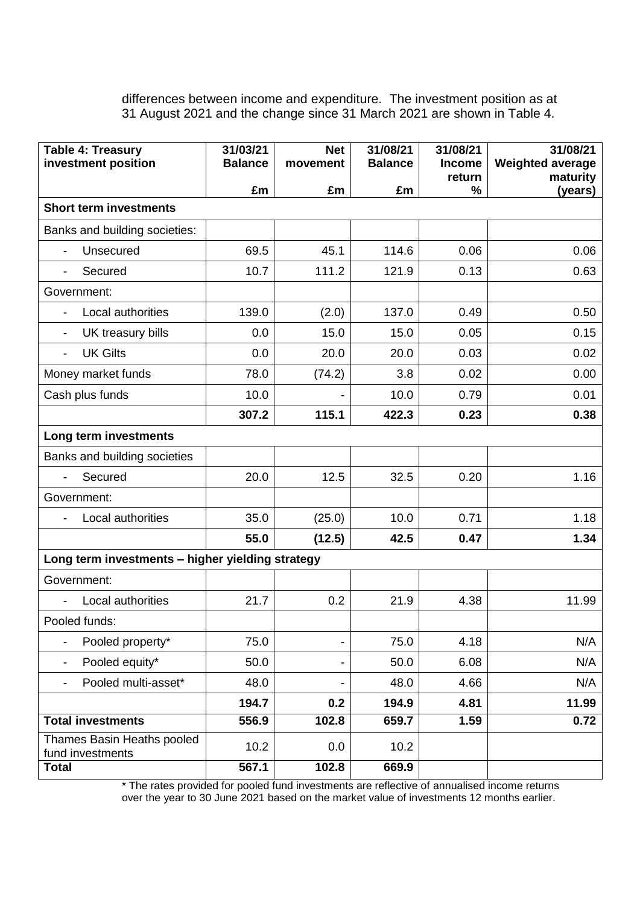differences between income and expenditure. The investment position as at 31 August 2021 and the change since 31 March 2021 are shown in Table 4.

| <b>Table 4: Treasury</b><br>investment position  | 31/03/21<br><b>Balance</b> | <b>Net</b><br>movement   | 31/08/21<br><b>Balance</b> | 31/08/21<br><b>Income</b> | 31/08/21<br><b>Weighted average</b> |
|--------------------------------------------------|----------------------------|--------------------------|----------------------------|---------------------------|-------------------------------------|
|                                                  |                            |                          |                            | return                    | maturity                            |
|                                                  | £m                         | £m                       | £m                         | %                         | (years)                             |
| <b>Short term investments</b>                    |                            |                          |                            |                           |                                     |
| Banks and building societies:                    |                            |                          |                            |                           |                                     |
| Unsecured<br>$\overline{\phantom{a}}$            | 69.5                       | 45.1                     | 114.6                      | 0.06                      | 0.06                                |
| Secured                                          | 10.7                       | 111.2                    | 121.9                      | 0.13                      | 0.63                                |
| Government:                                      |                            |                          |                            |                           |                                     |
| Local authorities                                | 139.0                      | (2.0)                    | 137.0                      | 0.49                      | 0.50                                |
| UK treasury bills<br>$\overline{\phantom{a}}$    | 0.0                        | 15.0                     | 15.0                       | 0.05                      | 0.15                                |
| <b>UK Gilts</b><br>$\overline{\phantom{a}}$      | 0.0                        | 20.0                     | 20.0                       | 0.03                      | 0.02                                |
| Money market funds                               | 78.0                       | (74.2)                   | 3.8                        | 0.02                      | 0.00                                |
| Cash plus funds                                  | 10.0                       |                          | 10.0                       | 0.79                      | 0.01                                |
|                                                  | 307.2                      | 115.1                    | 422.3                      | 0.23                      | 0.38                                |
| Long term investments                            |                            |                          |                            |                           |                                     |
| Banks and building societies                     |                            |                          |                            |                           |                                     |
| Secured                                          | 20.0                       | 12.5                     | 32.5                       | 0.20                      | 1.16                                |
| Government:                                      |                            |                          |                            |                           |                                     |
| Local authorities                                | 35.0                       | (25.0)                   | 10.0                       | 0.71                      | 1.18                                |
|                                                  | 55.0                       | (12.5)                   | 42.5                       | 0.47                      | 1.34                                |
| Long term investments - higher yielding strategy |                            |                          |                            |                           |                                     |
| Government:                                      |                            |                          |                            |                           |                                     |
| Local authorities                                | 21.7                       | 0.2                      | 21.9                       | 4.38                      | 11.99                               |
| Pooled funds:                                    |                            |                          |                            |                           |                                     |
| Pooled property*                                 | 75.0                       | $\overline{\phantom{0}}$ | 75.0                       | 4.18                      | N/A                                 |
| Pooled equity*<br>$\overline{\phantom{a}}$       | 50.0                       | -                        | 50.0                       | 6.08                      | N/A                                 |
| Pooled multi-asset*                              | 48.0                       | -                        | 48.0                       | 4.66                      | N/A                                 |
|                                                  | 194.7                      | 0.2                      | 194.9                      | 4.81                      | 11.99                               |
| <b>Total investments</b>                         | 556.9                      | 102.8                    | 659.7                      | 1.59                      | 0.72                                |
| Thames Basin Heaths pooled<br>fund investments   | 10.2                       | 0.0                      | 10.2                       |                           |                                     |
| <b>Total</b>                                     | 567.1                      | 102.8                    | 669.9                      |                           |                                     |

\* The rates provided for pooled fund investments are reflective of annualised income returns over the year to 30 June 2021 based on the market value of investments 12 months earlier.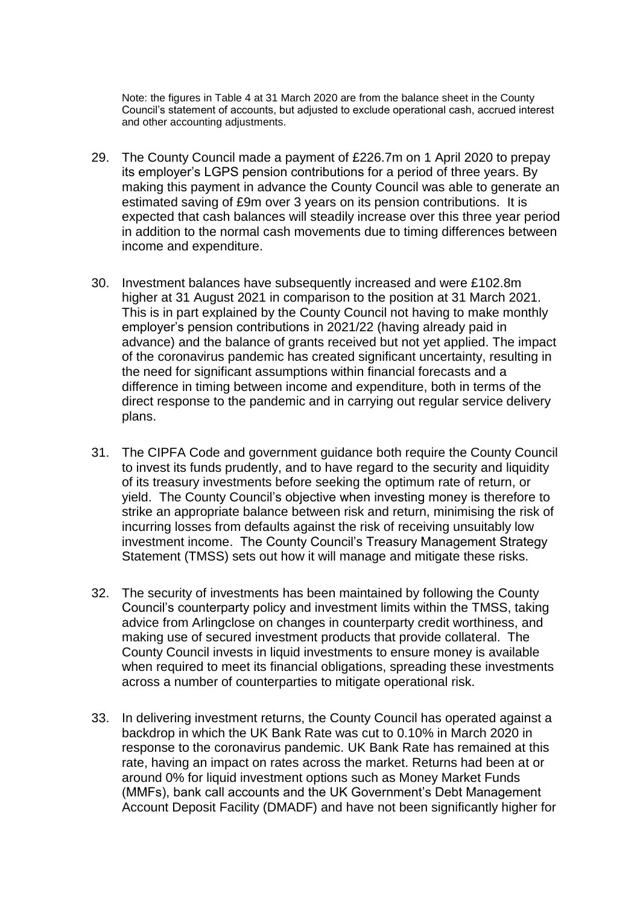Note: the figures in Table 4 at 31 March 2020 are from the balance sheet in the County Council's statement of accounts, but adjusted to exclude operational cash, accrued interest and other accounting adjustments.

- 29. The County Council made a payment of £226.7m on 1 April 2020 to prepay its employer's LGPS pension contributions for a period of three years. By making this payment in advance the County Council was able to generate an estimated saving of £9m over 3 years on its pension contributions. It is expected that cash balances will steadily increase over this three year period in addition to the normal cash movements due to timing differences between income and expenditure.
- 30. Investment balances have subsequently increased and were £102.8m higher at 31 August 2021 in comparison to the position at 31 March 2021. This is in part explained by the County Council not having to make monthly employer's pension contributions in 2021/22 (having already paid in advance) and the balance of grants received but not yet applied. The impact of the coronavirus pandemic has created significant uncertainty, resulting in the need for significant assumptions within financial forecasts and a difference in timing between income and expenditure, both in terms of the direct response to the pandemic and in carrying out regular service delivery plans.
- 31. The CIPFA Code and government guidance both require the County Council to invest its funds prudently, and to have regard to the security and liquidity of its treasury investments before seeking the optimum rate of return, or yield. The County Council's objective when investing money is therefore to strike an appropriate balance between risk and return, minimising the risk of incurring losses from defaults against the risk of receiving unsuitably low investment income. The County Council's Treasury Management Strategy Statement (TMSS) sets out how it will manage and mitigate these risks.
- 32. The security of investments has been maintained by following the County Council's counterparty policy and investment limits within the TMSS, taking advice from Arlingclose on changes in counterparty credit worthiness, and making use of secured investment products that provide collateral. The County Council invests in liquid investments to ensure money is available when required to meet its financial obligations, spreading these investments across a number of counterparties to mitigate operational risk.
- 33. In delivering investment returns, the County Council has operated against a backdrop in which the UK Bank Rate was cut to 0.10% in March 2020 in response to the coronavirus pandemic. UK Bank Rate has remained at this rate, having an impact on rates across the market. Returns had been at or around 0% for liquid investment options such as Money Market Funds (MMFs), bank call accounts and the UK Government's Debt Management Account Deposit Facility (DMADF) and have not been significantly higher for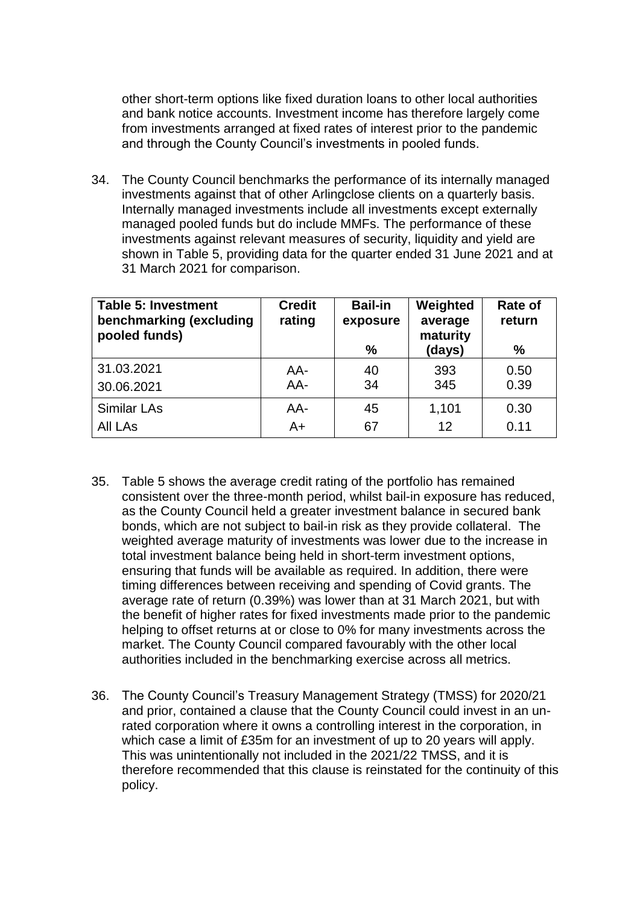other short-term options like fixed duration loans to other local authorities and bank notice accounts. Investment income has therefore largely come from investments arranged at fixed rates of interest prior to the pandemic and through the County Council's investments in pooled funds.

34. The County Council benchmarks the performance of its internally managed investments against that of other Arlingclose clients on a quarterly basis. Internally managed investments include all investments except externally managed pooled funds but do include MMFs. The performance of these investments against relevant measures of security, liquidity and yield are shown in Table 5, providing data for the quarter ended 31 June 2021 and at 31 March 2021 for comparison.

| <b>Table 5: Investment</b><br>benchmarking (excluding<br>pooled funds) | <b>Credit</b><br>rating | <b>Bail-in</b><br>exposure<br>% | Weighted<br>average<br>maturity<br>(days) | Rate of<br>return<br>$\%$ |
|------------------------------------------------------------------------|-------------------------|---------------------------------|-------------------------------------------|---------------------------|
| 31.03.2021                                                             | AA-                     | 40                              | 393                                       | 0.50                      |
| 30.06.2021                                                             | AA-                     | 34                              | 345                                       | 0.39                      |
| <b>Similar LAs</b>                                                     | AA-                     | 45                              | 1,101                                     | 0.30                      |
| <b>All LAs</b>                                                         | A+                      | 67                              | 12                                        | 0.11                      |

- 35. Table 5 shows the average credit rating of the portfolio has remained consistent over the three-month period, whilst bail-in exposure has reduced, as the County Council held a greater investment balance in secured bank bonds, which are not subject to bail-in risk as they provide collateral. The weighted average maturity of investments was lower due to the increase in total investment balance being held in short-term investment options, ensuring that funds will be available as required. In addition, there were timing differences between receiving and spending of Covid grants. The average rate of return (0.39%) was lower than at 31 March 2021, but with the benefit of higher rates for fixed investments made prior to the pandemic helping to offset returns at or close to 0% for many investments across the market. The County Council compared favourably with the other local authorities included in the benchmarking exercise across all metrics.
- 36. The County Council's Treasury Management Strategy (TMSS) for 2020/21 and prior, contained a clause that the County Council could invest in an unrated corporation where it owns a controlling interest in the corporation, in which case a limit of £35m for an investment of up to 20 years will apply. This was unintentionally not included in the 2021/22 TMSS, and it is therefore recommended that this clause is reinstated for the continuity of this policy.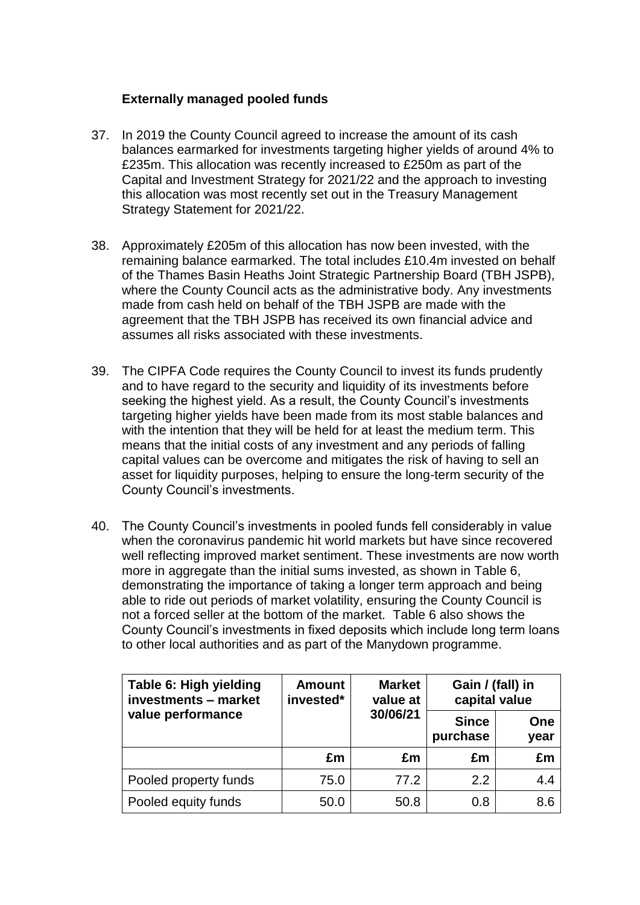# **Externally managed pooled funds**

- 37. In 2019 the County Council agreed to increase the amount of its cash balances earmarked for investments targeting higher yields of around 4% to £235m. This allocation was recently increased to £250m as part of the Capital and Investment Strategy for 2021/22 and the approach to investing this allocation was most recently set out in the Treasury Management Strategy Statement for 2021/22.
- 38. Approximately £205m of this allocation has now been invested, with the remaining balance earmarked. The total includes £10.4m invested on behalf of the Thames Basin Heaths Joint Strategic Partnership Board (TBH JSPB), where the County Council acts as the administrative body. Any investments made from cash held on behalf of the TBH JSPB are made with the agreement that the TBH JSPB has received its own financial advice and assumes all risks associated with these investments.
- 39. The CIPFA Code requires the County Council to invest its funds prudently and to have regard to the security and liquidity of its investments before seeking the highest yield. As a result, the County Council's investments targeting higher yields have been made from its most stable balances and with the intention that they will be held for at least the medium term. This means that the initial costs of any investment and any periods of falling capital values can be overcome and mitigates the risk of having to sell an asset for liquidity purposes, helping to ensure the long-term security of the County Council's investments.
- 40. The County Council's investments in pooled funds fell considerably in value when the coronavirus pandemic hit world markets but have since recovered well reflecting improved market sentiment. These investments are now worth more in aggregate than the initial sums invested, as shown in Table 6. demonstrating the importance of taking a longer term approach and being able to ride out periods of market volatility, ensuring the County Council is not a forced seller at the bottom of the market. Table 6 also shows the County Council's investments in fixed deposits which include long term loans to other local authorities and as part of the Manydown programme.

| Table 6: High yielding<br>investments - market | <b>Market</b><br><b>Amount</b><br>invested*<br>value at |          | Gain / (fall) in<br>capital value |             |
|------------------------------------------------|---------------------------------------------------------|----------|-----------------------------------|-------------|
| value performance                              |                                                         | 30/06/21 | <b>Since</b><br>purchase          | One<br>year |
|                                                | £m                                                      | £m       | £m                                | £m          |
| Pooled property funds                          | 75.0                                                    | 77.2     | 2.2                               | 4.4         |
| Pooled equity funds                            | 50.0                                                    | 50.8     | 0.8                               | 8.6         |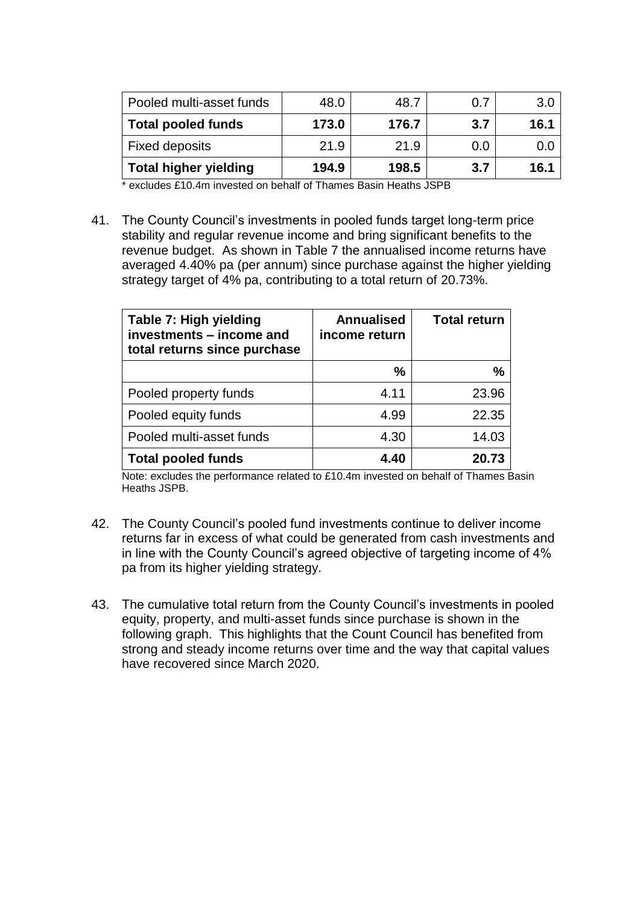| Pooled multi-asset funds     | 48.0  | 48.7  | 0.7 | 3.0  |
|------------------------------|-------|-------|-----|------|
| <b>Total pooled funds</b>    | 173.0 | 176.7 | 3.7 | 16.1 |
| <b>Fixed deposits</b>        | 21.9  | 21.9  | 0.0 | O.U  |
| <b>Total higher yielding</b> | 194.9 | 198.5 | 3.7 | 16.1 |

\* excludes £10.4m invested on behalf of Thames Basin Heaths JSPB

41. The County Council's investments in pooled funds target long-term price stability and regular revenue income and bring significant benefits to the revenue budget. As shown in Table 7 the annualised income returns have averaged 4.40% pa (per annum) since purchase against the higher yielding strategy target of 4% pa, contributing to a total return of 20.73%.

| Table 7: High yielding<br>investments - income and<br>total returns since purchase | <b>Annualised</b><br>income return | <b>Total return</b> |
|------------------------------------------------------------------------------------|------------------------------------|---------------------|
|                                                                                    | $\%$                               | %                   |
| Pooled property funds                                                              | 4.11                               | 23.96               |
| Pooled equity funds                                                                | 4.99                               | 22.35               |
| Pooled multi-asset funds                                                           | 4.30                               | 14.03               |
| <b>Total pooled funds</b>                                                          | 4.40                               | 20.73               |

Note: excludes the performance related to £10.4m invested on behalf of Thames Basin Heaths JSPB.

- 42. The County Council's pooled fund investments continue to deliver income returns far in excess of what could be generated from cash investments and in line with the County Council's agreed objective of targeting income of 4% pa from its higher yielding strategy.
- 43. The cumulative total return from the County Council's investments in pooled equity, property, and multi-asset funds since purchase is shown in the following graph. This highlights that the Count Council has benefited from strong and steady income returns over time and the way that capital values have recovered since March 2020.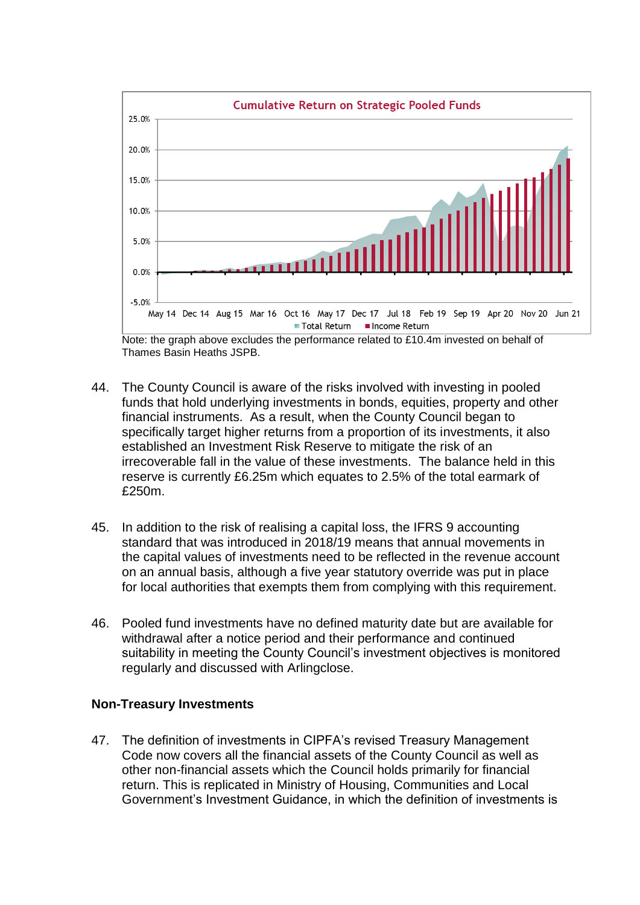

Note: the graph above excludes the performance related to £10.4m invested on behalf of Thames Basin Heaths JSPB.

- 44. The County Council is aware of the risks involved with investing in pooled funds that hold underlying investments in bonds, equities, property and other financial instruments. As a result, when the County Council began to specifically target higher returns from a proportion of its investments, it also established an Investment Risk Reserve to mitigate the risk of an irrecoverable fall in the value of these investments. The balance held in this reserve is currently £6.25m which equates to 2.5% of the total earmark of £250m.
- 45. In addition to the risk of realising a capital loss, the IFRS 9 accounting standard that was introduced in 2018/19 means that annual movements in the capital values of investments need to be reflected in the revenue account on an annual basis, although a five year statutory override was put in place for local authorities that exempts them from complying with this requirement.
- 46. Pooled fund investments have no defined maturity date but are available for withdrawal after a notice period and their performance and continued suitability in meeting the County Council's investment objectives is monitored regularly and discussed with Arlingclose.

## **Non-Treasury Investments**

47. The definition of investments in CIPFA's revised Treasury Management Code now covers all the financial assets of the County Council as well as other non-financial assets which the Council holds primarily for financial return. This is replicated in Ministry of Housing, Communities and Local Government's Investment Guidance, in which the definition of investments is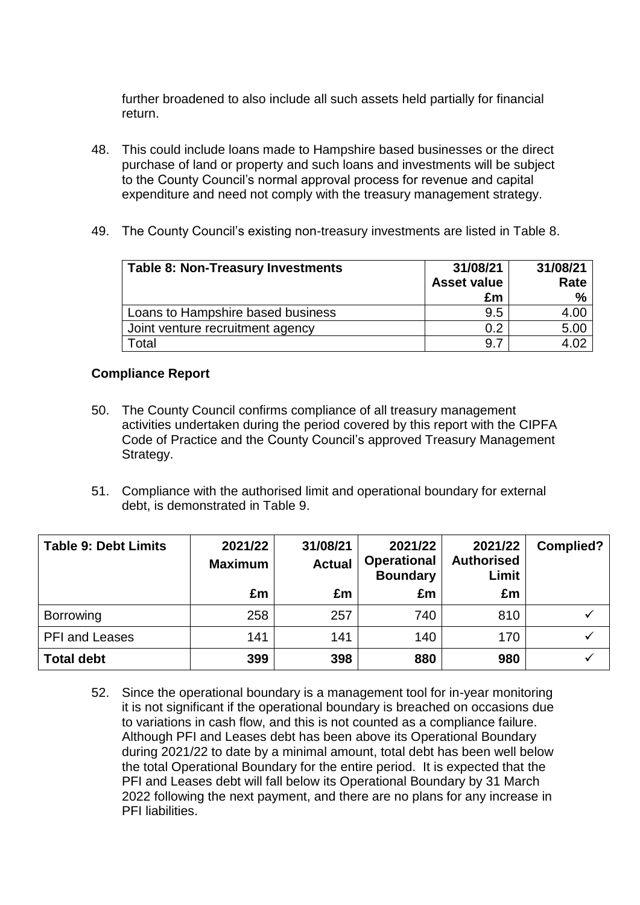further broadened to also include all such assets held partially for financial return.

- 48. This could include loans made to Hampshire based businesses or the direct purchase of land or property and such loans and investments will be subject to the County Council's normal approval process for revenue and capital expenditure and need not comply with the treasury management strategy.
- 49. The County Council's existing non-treasury investments are listed in Table 8.

| <b>Table 8: Non-Treasury Investments</b> | 31/08/21<br><b>Asset value</b><br>£m | 31/08/21<br>Rate<br>$\%$ |
|------------------------------------------|--------------------------------------|--------------------------|
| Loans to Hampshire based business        | 9.5                                  | 4.00                     |
| Joint venture recruitment agency         | 0.2                                  | 5.00                     |
| Total                                    | 9.                                   |                          |

## **Compliance Report**

- 50. The County Council confirms compliance of all treasury management activities undertaken during the period covered by this report with the CIPFA Code of Practice and the County Council's approved Treasury Management Strategy.
- 51. Compliance with the authorised limit and operational boundary for external debt, is demonstrated in Table 9.

| <b>Table 9: Debt Limits</b> | 2021/22<br><b>Maximum</b> | 31/08/21<br><b>Actual</b> | 2021/22<br><b>Operational</b><br><b>Boundary</b> | 2021/22<br><b>Authorised</b><br>Limit | <b>Complied?</b> |
|-----------------------------|---------------------------|---------------------------|--------------------------------------------------|---------------------------------------|------------------|
|                             | £m                        | £m                        | £m                                               | £m                                    |                  |
| <b>Borrowing</b>            | 258                       | 257                       | 740                                              | 810                                   |                  |
| <b>PFI and Leases</b>       | 141                       | 141                       | 140                                              | 170                                   |                  |
| <b>Total debt</b>           | 399                       | 398                       | 880                                              | 980                                   |                  |

52. Since the operational boundary is a management tool for in-year monitoring it is not significant if the operational boundary is breached on occasions due to variations in cash flow, and this is not counted as a compliance failure. Although PFI and Leases debt has been above its Operational Boundary during 2021/22 to date by a minimal amount, total debt has been well below the total Operational Boundary for the entire period. It is expected that the PFI and Leases debt will fall below its Operational Boundary by 31 March 2022 following the next payment, and there are no plans for any increase in PFI liabilities.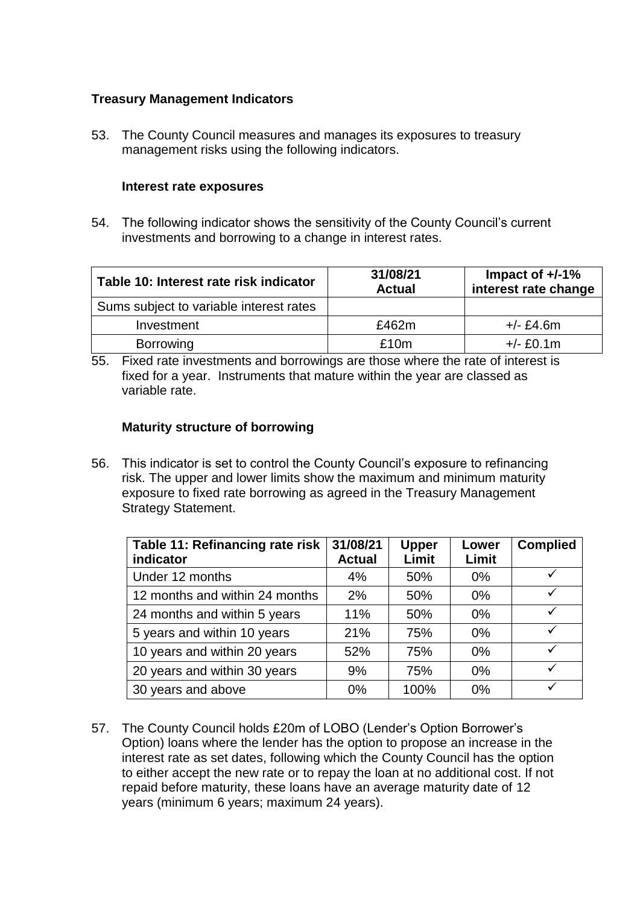# **Treasury Management Indicators**

53. The County Council measures and manages its exposures to treasury management risks using the following indicators.

#### **Interest rate exposures**

54. The following indicator shows the sensitivity of the County Council's current investments and borrowing to a change in interest rates.

| Table 10: Interest rate risk indicator  | 31/08/21<br><b>Actual</b> | Impact of $+/-1\%$<br>interest rate change |
|-----------------------------------------|---------------------------|--------------------------------------------|
| Sums subject to variable interest rates |                           |                                            |
| Investment                              | £462m                     | $+/- E4.6m$                                |
| <b>Borrowing</b>                        | £10m                      | $+/- E0.1m$                                |

55. Fixed rate investments and borrowings are those where the rate of interest is fixed for a year. Instruments that mature within the year are classed as variable rate.

# **Maturity structure of borrowing**

56. This indicator is set to control the County Council's exposure to refinancing risk. The upper and lower limits show the maximum and minimum maturity exposure to fixed rate borrowing as agreed in the Treasury Management Strategy Statement.

| Table 11: Refinancing rate risk<br>indicator | 31/08/21<br><b>Actual</b> | <b>Upper</b><br>Limit | Lower<br>Limit | <b>Complied</b> |
|----------------------------------------------|---------------------------|-----------------------|----------------|-----------------|
| Under 12 months                              | 4%                        | 50%                   | $0\%$          | $\checkmark$    |
| 12 months and within 24 months               | 2%                        | 50%                   | $0\%$          |                 |
| 24 months and within 5 years                 | 11%                       | 50%                   | $0\%$          | $\checkmark$    |
| 5 years and within 10 years                  | 21%                       | 75%                   | 0%             | ✓               |
| 10 years and within 20 years                 | 52%                       | 75%                   | $0\%$          | $\checkmark$    |
| 20 years and within 30 years                 | 9%                        | 75%                   | $0\%$          |                 |
| 30 years and above                           | $0\%$                     | 100%                  | 0%             |                 |

57. The County Council holds £20m of LOBO (Lender's Option Borrower's Option) loans where the lender has the option to propose an increase in the interest rate as set dates, following which the County Council has the option to either accept the new rate or to repay the loan at no additional cost. If not repaid before maturity, these loans have an average maturity date of 12 years (minimum 6 years; maximum 24 years).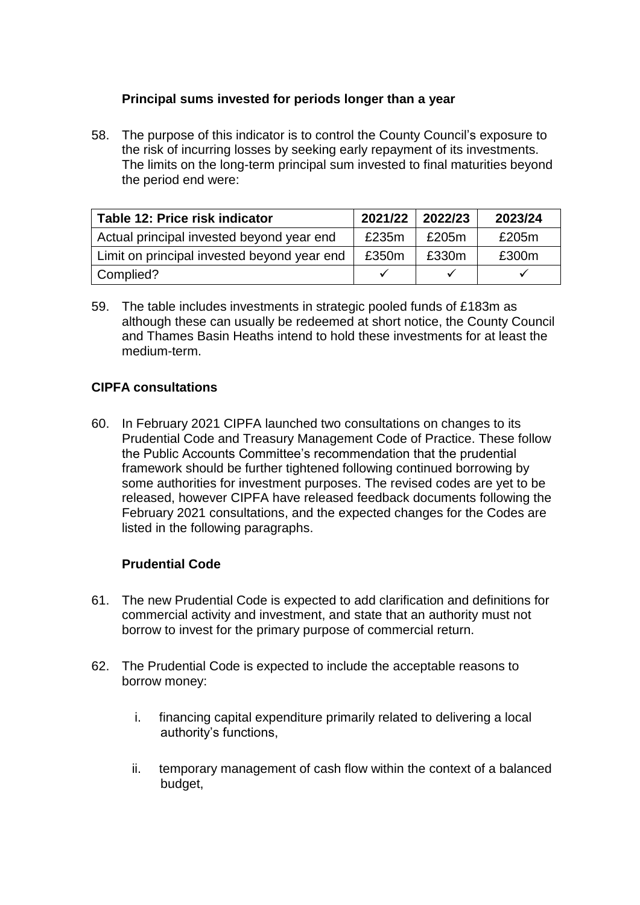# **Principal sums invested for periods longer than a year**

58. The purpose of this indicator is to control the County Council's exposure to the risk of incurring losses by seeking early repayment of its investments. The limits on the long-term principal sum invested to final maturities beyond the period end were:

| Table 12: Price risk indicator              | 2021/22 | 2022/23 | 2023/24 |
|---------------------------------------------|---------|---------|---------|
| Actual principal invested beyond year end   | £235m   | £205m   | £205m   |
| Limit on principal invested beyond year end | £350m   | £330m   | £300m   |
| Complied?                                   |         |         |         |

59. The table includes investments in strategic pooled funds of £183m as although these can usually be redeemed at short notice, the County Council and Thames Basin Heaths intend to hold these investments for at least the medium-term.

# **CIPFA consultations**

60. In February 2021 CIPFA launched two consultations on changes to its Prudential Code and Treasury Management Code of Practice. These follow the Public Accounts Committee's recommendation that the prudential framework should be further tightened following continued borrowing by some authorities for investment purposes. The revised codes are yet to be released, however CIPFA have released feedback documents following the February 2021 consultations, and the expected changes for the Codes are listed in the following paragraphs.

# **Prudential Code**

- 61. The new Prudential Code is expected to add clarification and definitions for commercial activity and investment, and state that an authority must not borrow to invest for the primary purpose of commercial return.
- 62. The Prudential Code is expected to include the acceptable reasons to borrow money:
	- i. financing capital expenditure primarily related to delivering a local authority's functions,
	- ii. temporary management of cash flow within the context of a balanced budget,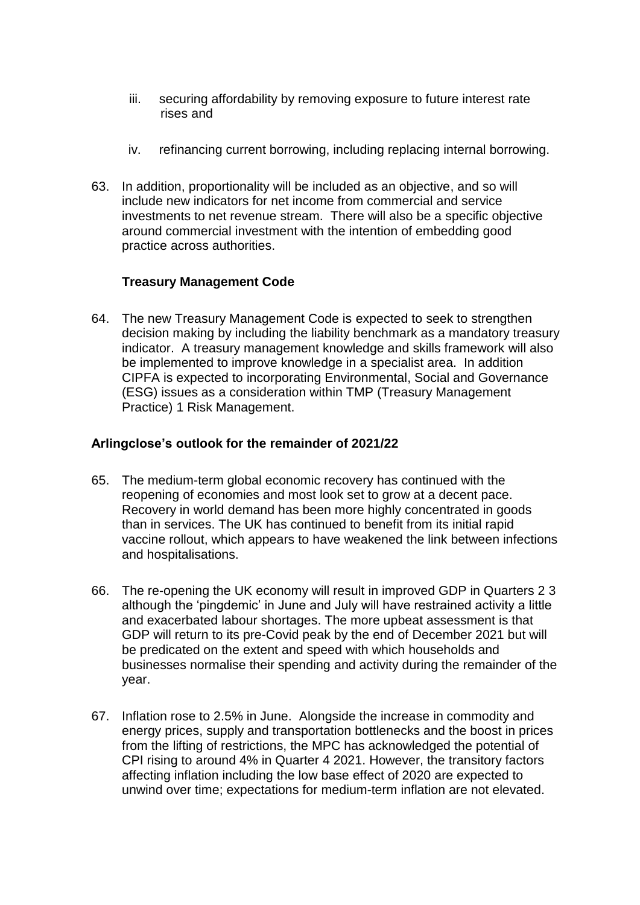- iii. securing affordability by removing exposure to future interest rate rises and
- iv. refinancing current borrowing, including replacing internal borrowing.
- 63. In addition, proportionality will be included as an objective, and so will include new indicators for net income from commercial and service investments to net revenue stream. There will also be a specific objective around commercial investment with the intention of embedding good practice across authorities.

# **Treasury Management Code**

64. The new Treasury Management Code is expected to seek to strengthen decision making by including the liability benchmark as a mandatory treasury indicator. A treasury management knowledge and skills framework will also be implemented to improve knowledge in a specialist area. In addition CIPFA is expected to incorporating Environmental, Social and Governance (ESG) issues as a consideration within TMP (Treasury Management Practice) 1 Risk Management.

# **Arlingclose's outlook for the remainder of 2021/22**

- 65. The medium-term global economic recovery has continued with the reopening of economies and most look set to grow at a decent pace. Recovery in world demand has been more highly concentrated in goods than in services. The UK has continued to benefit from its initial rapid vaccine rollout, which appears to have weakened the link between infections and hospitalisations.
- 66. The re-opening the UK economy will result in improved GDP in Quarters 2 3 although the 'pingdemic' in June and July will have restrained activity a little and exacerbated labour shortages. The more upbeat assessment is that GDP will return to its pre-Covid peak by the end of December 2021 but will be predicated on the extent and speed with which households and businesses normalise their spending and activity during the remainder of the year.
- 67. Inflation rose to 2.5% in June. Alongside the increase in commodity and energy prices, supply and transportation bottlenecks and the boost in prices from the lifting of restrictions, the MPC has acknowledged the potential of CPI rising to around 4% in Quarter 4 2021. However, the transitory factors affecting inflation including the low base effect of 2020 are expected to unwind over time; expectations for medium-term inflation are not elevated.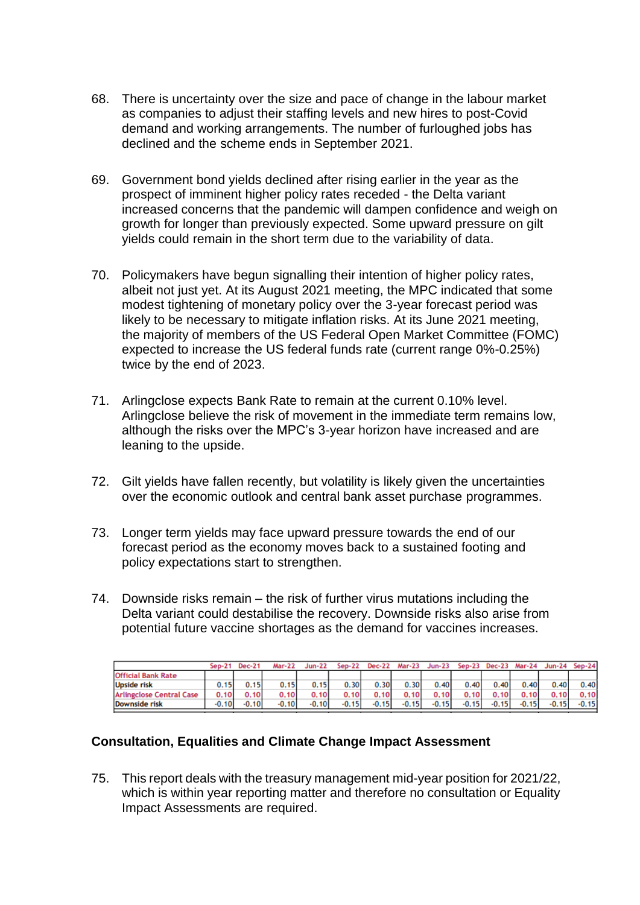- 68. There is uncertainty over the size and pace of change in the labour market as companies to adjust their staffing levels and new hires to post-Covid demand and working arrangements. The number of furloughed jobs has declined and the scheme ends in September 2021.
- 69. Government bond yields declined after rising earlier in the year as the prospect of imminent higher policy rates receded - the Delta variant increased concerns that the pandemic will dampen confidence and weigh on growth for longer than previously expected. Some upward pressure on gilt yields could remain in the short term due to the variability of data.
- 70. Policymakers have begun signalling their intention of higher policy rates, albeit not just yet. At its August 2021 meeting, the MPC indicated that some modest tightening of monetary policy over the 3-year forecast period was likely to be necessary to mitigate inflation risks. At its June 2021 meeting, the majority of members of the US Federal Open Market Committee (FOMC) expected to increase the US federal funds rate (current range 0%-0.25%) twice by the end of 2023.
- 71. Arlingclose expects Bank Rate to remain at the current 0.10% level. Arlingclose believe the risk of movement in the immediate term remains low, although the risks over the MPC's 3-year horizon have increased and are leaning to the upside.
- 72. Gilt yields have fallen recently, but volatility is likely given the uncertainties over the economic outlook and central bank asset purchase programmes.
- 73. Longer term yields may face upward pressure towards the end of our forecast period as the economy moves back to a sustained footing and policy expectations start to strengthen.
- 74. Downside risks remain the risk of further virus mutations including the Delta variant could destabilise the recovery. Downside risks also arise from potential future vaccine shortages as the demand for vaccines increases.

|                                 | Sep-21  | <b>Dec-21</b> | <b>Mar-22</b> | $Jun-22$ | Sep-22  | <b>Dec-22</b> |         | Mar-23 Jun-23 Sep-23 Dec-23 Mar-24 Jun-24 Sep-24 |         |         |         |         |         |
|---------------------------------|---------|---------------|---------------|----------|---------|---------------|---------|--------------------------------------------------|---------|---------|---------|---------|---------|
| <b>Official Bank Rate</b>       |         |               |               |          |         |               |         |                                                  |         |         |         |         |         |
| <b>Upside risk</b>              | 0.15    | 0.15          | 0.15          | 0.15     | 0.30    | 0.30          | 0.30    | 0.40                                             | 0.40    | 0.40    | 0.40    | 0.40    | 0.40    |
| <b>Arlingclose Central Case</b> | 0.10    | 0.10          | 0.10          | 0.10     | 0.10    | 0.10          | 0.10    | 0.10                                             | 0.10    | 0.10    | 0.10    | 0.10    | 0.10    |
| Downside risk                   | $-0.10$ | $-0.10$       | $-0.10$       | $-0.10$  | $-0.15$ | $-0.15$       | $-0.15$ | $-0.15$                                          | $-0.15$ | $-0.15$ | $-0.15$ | $-0.15$ | $-0.15$ |

## **Consultation, Equalities and Climate Change Impact Assessment**

75. This report deals with the treasury management mid-year position for 2021/22, which is within year reporting matter and therefore no consultation or Equality Impact Assessments are required.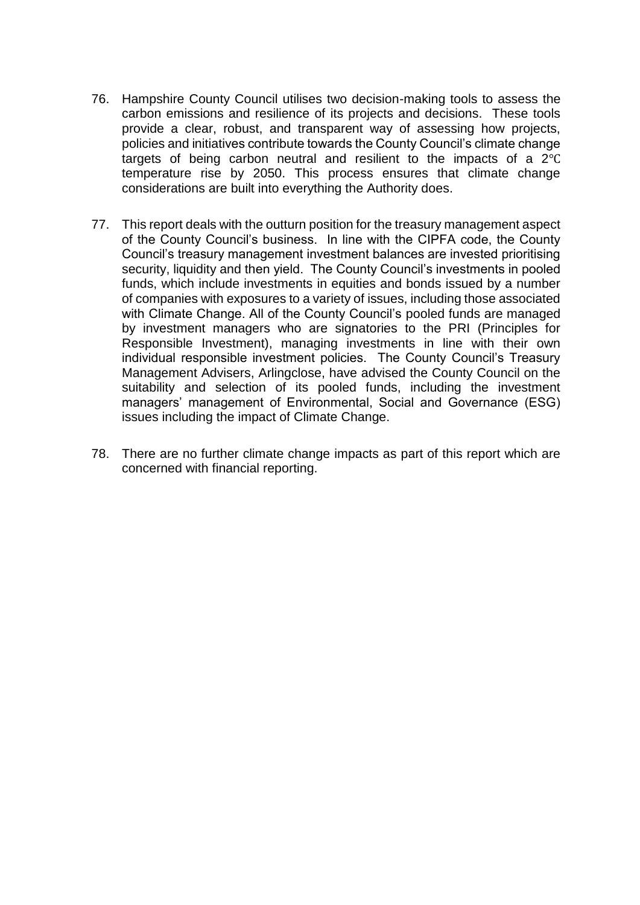- 76. Hampshire County Council utilises two decision-making tools to assess the carbon emissions and resilience of its projects and decisions. These tools provide a clear, robust, and transparent way of assessing how projects, policies and initiatives contribute towards the County Council's climate change targets of being carbon neutral and resilient to the impacts of a 2℃ temperature rise by 2050. This process ensures that climate change considerations are built into everything the Authority does.
- 77. This report deals with the outturn position for the treasury management aspect of the County Council's business. In line with the CIPFA code, the County Council's treasury management investment balances are invested prioritising security, liquidity and then yield. The County Council's investments in pooled funds, which include investments in equities and bonds issued by a number of companies with exposures to a variety of issues, including those associated with Climate Change. All of the County Council's pooled funds are managed by investment managers who are signatories to the PRI (Principles for Responsible Investment), managing investments in line with their own individual responsible investment policies. The County Council's Treasury Management Advisers, Arlingclose, have advised the County Council on the suitability and selection of its pooled funds, including the investment managers' management of Environmental, Social and Governance (ESG) issues including the impact of Climate Change.
- 78. There are no further climate change impacts as part of this report which are concerned with financial reporting.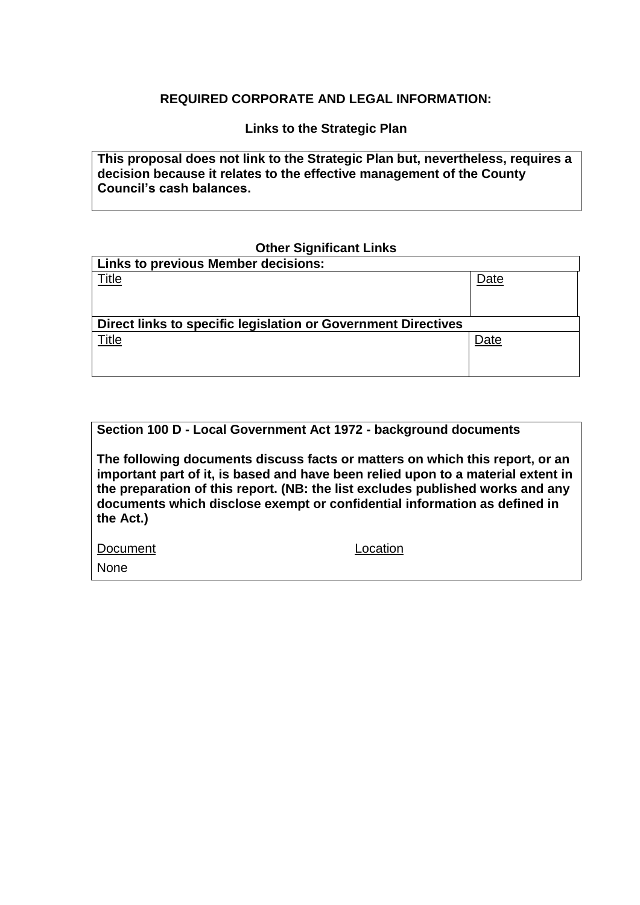## **REQUIRED CORPORATE AND LEGAL INFORMATION:**

**Links to the Strategic Plan**

**This proposal does not link to the Strategic Plan but, nevertheless, requires a decision because it relates to the effective management of the County Council's cash balances.**

#### **Other Significant Links**

| <b>Links to previous Member decisions:</b>                    |      |  |  |  |
|---------------------------------------------------------------|------|--|--|--|
| Title                                                         | Date |  |  |  |
|                                                               |      |  |  |  |
|                                                               |      |  |  |  |
| Direct links to specific legislation or Government Directives |      |  |  |  |
|                                                               |      |  |  |  |
| Title                                                         | Date |  |  |  |
|                                                               |      |  |  |  |

# **Section 100 D - Local Government Act 1972 - background documents**

**The following documents discuss facts or matters on which this report, or an important part of it, is based and have been relied upon to a material extent in the preparation of this report. (NB: the list excludes published works and any documents which disclose exempt or confidential information as defined in the Act.)**

Document Location

None